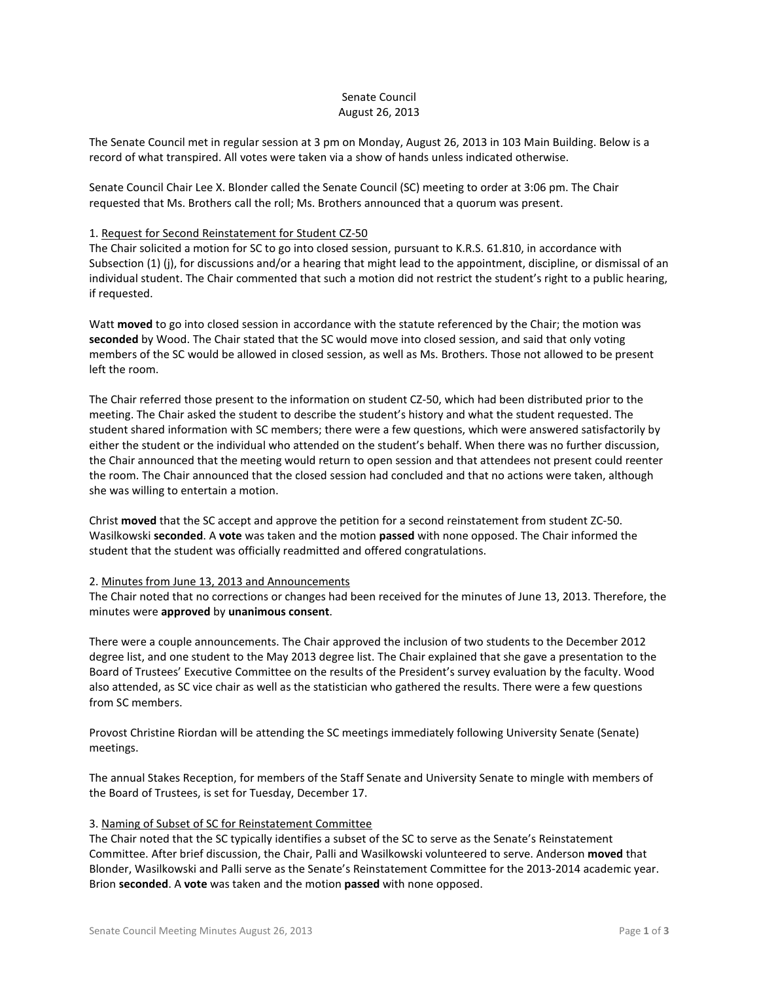# Senate Council August 26, 2013

The Senate Council met in regular session at 3 pm on Monday, August 26, 2013 in 103 Main Building. Below is a record of what transpired. All votes were taken via a show of hands unless indicated otherwise.

Senate Council Chair Lee X. Blonder called the Senate Council (SC) meeting to order at 3:06 pm. The Chair requested that Ms. Brothers call the roll; Ms. Brothers announced that a quorum was present.

## 1. Request for Second Reinstatement for Student CZ-50

The Chair solicited a motion for SC to go into closed session, pursuant to K.R.S. 61.810, in accordance with Subsection (1) (j), for discussions and/or a hearing that might lead to the appointment, discipline, or dismissal of an individual student. The Chair commented that such a motion did not restrict the student's right to a public hearing, if requested.

Watt **moved** to go into closed session in accordance with the statute referenced by the Chair; the motion was **seconded** by Wood. The Chair stated that the SC would move into closed session, and said that only voting members of the SC would be allowed in closed session, as well as Ms. Brothers. Those not allowed to be present left the room.

The Chair referred those present to the information on student CZ-50, which had been distributed prior to the meeting. The Chair asked the student to describe the student's history and what the student requested. The student shared information with SC members; there were a few questions, which were answered satisfactorily by either the student or the individual who attended on the student's behalf. When there was no further discussion, the Chair announced that the meeting would return to open session and that attendees not present could reenter the room. The Chair announced that the closed session had concluded and that no actions were taken, although she was willing to entertain a motion.

Christ **moved** that the SC accept and approve the petition for a second reinstatement from student ZC-50. Wasilkowski **seconded**. A **vote** was taken and the motion **passed** with none opposed. The Chair informed the student that the student was officially readmitted and offered congratulations.

# 2. Minutes from June 13, 2013 and Announcements

The Chair noted that no corrections or changes had been received for the minutes of June 13, 2013. Therefore, the minutes were **approved** by **unanimous consent**.

There were a couple announcements. The Chair approved the inclusion of two students to the December 2012 degree list, and one student to the May 2013 degree list. The Chair explained that she gave a presentation to the Board of Trustees' Executive Committee on the results of the President's survey evaluation by the faculty. Wood also attended, as SC vice chair as well as the statistician who gathered the results. There were a few questions from SC members.

Provost Christine Riordan will be attending the SC meetings immediately following University Senate (Senate) meetings.

The annual Stakes Reception, for members of the Staff Senate and University Senate to mingle with members of the Board of Trustees, is set for Tuesday, December 17.

# 3. Naming of Subset of SC for Reinstatement Committee

The Chair noted that the SC typically identifies a subset of the SC to serve as the Senate's Reinstatement Committee. After brief discussion, the Chair, Palli and Wasilkowski volunteered to serve. Anderson **moved** that Blonder, Wasilkowski and Palli serve as the Senate's Reinstatement Committee for the 2013-2014 academic year. Brion **seconded**. A **vote** was taken and the motion **passed** with none opposed.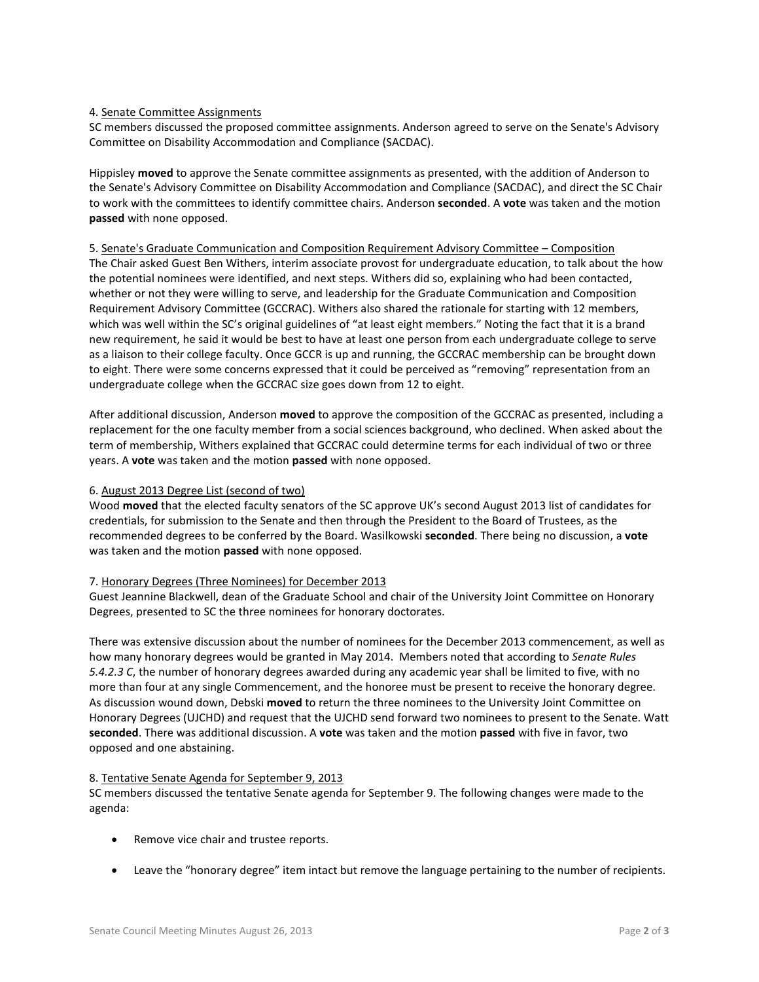## 4. Senate Committee Assignments

SC members discussed the proposed committee assignments. Anderson agreed to serve on the Senate's Advisory Committee on Disability Accommodation and Compliance (SACDAC).

Hippisley **moved** to approve the Senate committee assignments as presented, with the addition of Anderson to the Senate's Advisory Committee on Disability Accommodation and Compliance (SACDAC), and direct the SC Chair to work with the committees to identify committee chairs. Anderson **seconded**. A **vote** was taken and the motion **passed** with none opposed.

### 5. Senate's Graduate Communication and Composition Requirement Advisory Committee – Composition

The Chair asked Guest Ben Withers, interim associate provost for undergraduate education, to talk about the how the potential nominees were identified, and next steps. Withers did so, explaining who had been contacted, whether or not they were willing to serve, and leadership for the Graduate Communication and Composition Requirement Advisory Committee (GCCRAC). Withers also shared the rationale for starting with 12 members, which was well within the SC's original guidelines of "at least eight members." Noting the fact that it is a brand new requirement, he said it would be best to have at least one person from each undergraduate college to serve as a liaison to their college faculty. Once GCCR is up and running, the GCCRAC membership can be brought down to eight. There were some concerns expressed that it could be perceived as "removing" representation from an undergraduate college when the GCCRAC size goes down from 12 to eight.

After additional discussion, Anderson **moved** to approve the composition of the GCCRAC as presented, including a replacement for the one faculty member from a social sciences background, who declined. When asked about the term of membership, Withers explained that GCCRAC could determine terms for each individual of two or three years. A **vote** was taken and the motion **passed** with none opposed.

### 6. August 2013 Degree List (second of two)

Wood **moved** that the elected faculty senators of the SC approve UK's second August 2013 list of candidates for credentials, for submission to the Senate and then through the President to the Board of Trustees, as the recommended degrees to be conferred by the Board. Wasilkowski **seconded**. There being no discussion, a **vote** was taken and the motion **passed** with none opposed.

### 7. Honorary Degrees (Three Nominees) for December 2013

Guest Jeannine Blackwell, dean of the Graduate School and chair of the University Joint Committee on Honorary Degrees, presented to SC the three nominees for honorary doctorates.

There was extensive discussion about the number of nominees for the December 2013 commencement, as well as how many honorary degrees would be granted in May 2014. Members noted that according to *Senate Rules 5.4.2.3 C*, the number of honorary degrees awarded during any academic year shall be limited to five, with no more than four at any single Commencement, and the honoree must be present to receive the honorary degree. As discussion wound down, Debski **moved** to return the three nominees to the University Joint Committee on Honorary Degrees (UJCHD) and request that the UJCHD send forward two nominees to present to the Senate. Watt **seconded**. There was additional discussion. A **vote** was taken and the motion **passed** with five in favor, two opposed and one abstaining.

### 8. Tentative Senate Agenda for September 9, 2013

SC members discussed the tentative Senate agenda for September 9. The following changes were made to the agenda:

- Remove vice chair and trustee reports.
- Leave the "honorary degree" item intact but remove the language pertaining to the number of recipients.